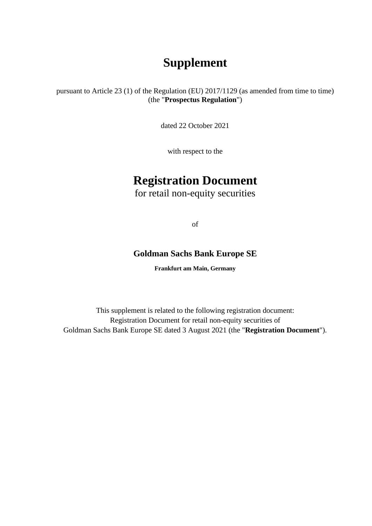# **Supplement**

pursuant to Article 23 (1) of the Regulation (EU) 2017/1129 (as amended from time to time) (the "**Prospectus Regulation**")

dated 22 October 2021

with respect to the

# **Registration Document**

for retail non-equity securities

of

# **Goldman Sachs Bank Europe SE**

**Frankfurt am Main, Germany** 

This supplement is related to the following registration document: Registration Document for retail non-equity securities of Goldman Sachs Bank Europe SE dated 3 August 2021 (the "**Registration Document**").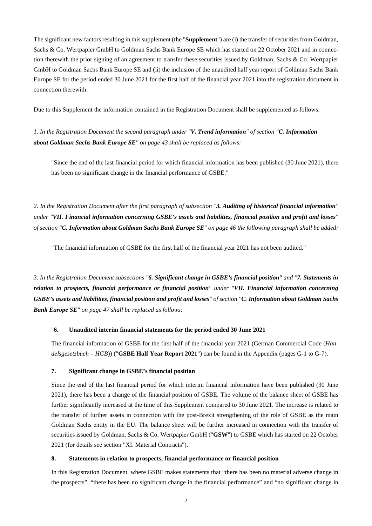The significant new factors resulting in this supplement (the "**Supplement**") are (i) the transfer of securities from Goldman, Sachs & Co. Wertpapier GmbH to Goldman Sachs Bank Europe SE which has started on 22 October 2021 and in connection therewith the prior signing of an agreement to transfer these securities issued by Goldman, Sachs & Co. Wertpapier GmbH to Goldman Sachs Bank Europe SE and (ii) the inclusion of the unaudited half year report of Goldman Sachs Bank Europe SE for the period ended 30 June 2021 for the first half of the financial year 2021 into the registration document in connection therewith.

Due to this Supplement the information contained in the Registration Document shall be supplemented as follows:

*1. In the Registration Document the second paragraph under "V. Trend information" of section "C. Information about Goldman Sachs Bank Europe SE" on page 43 shall be replaced as follows:* 

"Since the end of the last financial period for which financial information has been published (30 June 2021), there has been no significant change in the financial performance of GSBE."

*2. In the Registration Document after the first paragraph of subsection "3. Auditing of historical financial information" under "VII. Financial information concerning GSBE's assets and liabilities, financial position and profit and losses" of section "C. Information about Goldman Sachs Bank Europe SE" on page 46 the following paragraph shall be added:*

"The financial information of GSBE for the first half of the financial year 2021 has not been audited."

*3. In the Registration Document subsections "6. Significant change in GSBE's financial position" and "7. Statements in relation to prospects, financial performance or financial position" under "VII. Financial information concerning GSBE's assets and liabilities, financial position and profit and losses" of section "C. Information about Goldman Sachs Bank Europe SE" on page 47 shall be replaced as follows:* 

#### "**6. Unaudited interim financial statements for the period ended 30 June 2021**

The financial information of GSBE for the first half of the financial year 2021 (German Commercial Code (*Handelsgesetzbuch – HGB*)) ("**GSBE Half Year Report 2021**") can be found in the Appendix (pages G-1 to G-7).

#### **7. Significant change in GSBE's financial position**

Since the end of the last financial period for which interim financial information have been published (30 June 2021), there has been a change of the financial position of GSBE. The volume of the balance sheet of GSBE has further significantly increased at the time of this Supplement compared to 30 June 2021. The increase is related to the transfer of further assets in connection with the post-Brexit strengthening of the role of GSBE as the main Goldman Sachs entity in the EU. The balance sheet will be further increased in connection with the transfer of securities issued by Goldman, Sachs & Co. Wertpapier GmbH ("**GSW**") to GSBE which has started on 22 October 2021 (for details see section "XI. Material Contracts").

#### **8. Statements in relation to prospects, financial performance or financial position**

In this Registration Document, where GSBE makes statements that "there has been no material adverse change in the prospects", "there has been no significant change in the financial performance" and "no significant change in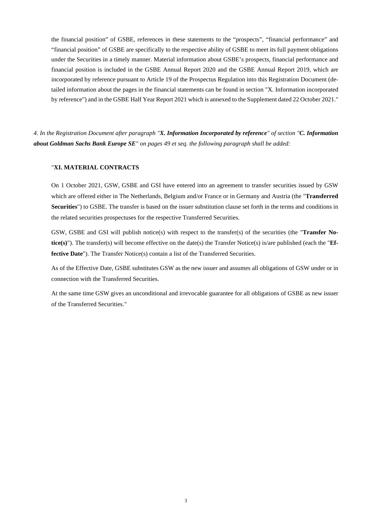the financial position" of GSBE, references in these statements to the "prospects", "financial performance" and "financial position" of GSBE are specifically to the respective ability of GSBE to meet its full payment obligations under the Securities in a timely manner. Material information about GSBE's prospects, financial performance and financial position is included in the GSBE Annual Report 2020 and the GSBE Annual Report 2019, which are incorporated by reference pursuant to Article 19 of the Prospectus Regulation into this Registration Document (detailed information about the pages in the financial statements can be found in section "X. Information incorporated by reference") and in the GSBE Half Year Report 2021 which is annexed to the Supplement dated 22 October 2021."

*4. In the Registration Document after paragraph "X. Information Incorporated by reference" of section "C. Information about Goldman Sachs Bank Europe SE" on pages 49 et seq. the following paragraph shall be added:* 

## "**XI. MATERIAL CONTRACTS**

On 1 October 2021, GSW, GSBE and GSI have entered into an agreement to transfer securities issued by GSW which are offered either in The Netherlands, Belgium and/or France or in Germany and Austria (the "**Transferred Securities**") to GSBE. The transfer is based on the issuer substitution clause set forth in the terms and conditions in the related securities prospectuses for the respective Transferred Securities.

GSW, GSBE and GSI will publish notice(s) with respect to the transfer(s) of the securities (the "**Transfer Notice(s)**"). The transfer(s) will become effective on the date(s) the Transfer Notice(s) is/are published (each the "**Ef**fective Date"). The Transfer Notice(s) contain a list of the Transferred Securities.

As of the Effective Date, GSBE substitutes GSW as the new issuer and assumes all obligations of GSW under or in connection with the Transferred Securities.

At the same time GSW gives an unconditional and irrevocable guarantee for all obligations of GSBE as new issuer of the Transferred Securities."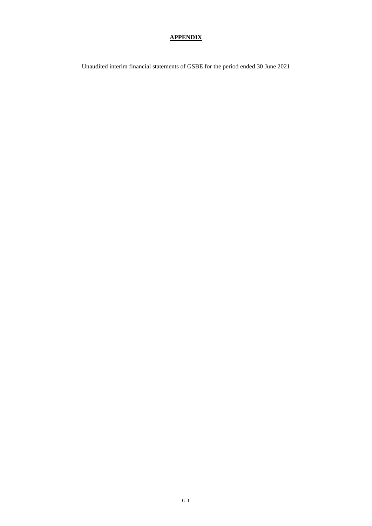### **APPENDIX**

Unaudited interim financial statements of GSBE for the period ended 30 June 2021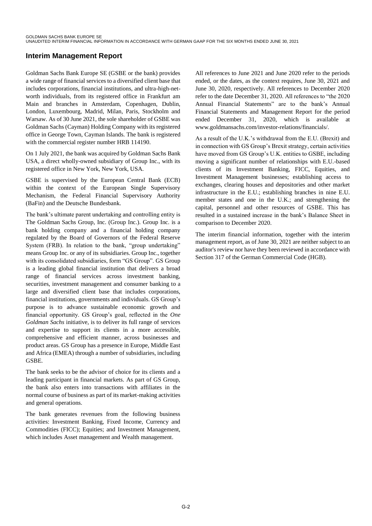# **Interim Management Report**

Goldman Sachs Bank Europe SE (GSBE or the bank) provides a wide range of financial services to a diversified client base that includes corporations, financial institutions, and ultra-high-networth individuals, from its registered office in Frankfurt am Main and branches in Amsterdam, Copenhagen, Dublin, London, Luxembourg, Madrid, Milan, Paris, Stockholm and Warsaw. As of 30 June 2021, the sole shareholder of GSBE was Goldman Sachs (Cayman) Holding Company with its registered office in George Town, Cayman Islands. The bank is registered with the commercial register number HRB 114190.

On 1 July 2021, the bank was acquired by Goldman Sachs Bank USA, a direct wholly-owned subsidiary of Group Inc., with its registered office in New York, New York, USA.

GSBE is supervised by the European Central Bank (ECB) within the context of the European Single Supervisory Mechanism, the Federal Financial Supervisory Authority (BaFin) and the Deutsche Bundesbank.

The bank's ultimate parent undertaking and controlling entity is The Goldman Sachs Group, Inc. (Group Inc.). Group Inc. is a bank holding company and a financial holding company regulated by the Board of Governors of the Federal Reserve System (FRB). In relation to the bank, "group undertaking" means Group Inc. or any of its subsidiaries. Group Inc., together with its consolidated subsidiaries, form "GS Group". GS Group is a leading global financial institution that delivers a broad range of financial services across investment banking, securities, investment management and consumer banking to a large and diversified client base that includes corporations, financial institutions, governments and individuals. GS Group's purpose is to advance sustainable economic growth and financial opportunity. GS Group's goal, reflected in the One *Goldman Sachs* initiative, is to deliver its full range of services and expertise to support its clients in a more accessible, comprehensive and efficient manner, across businesses and product areas. GS Group has a presence in Europe, Middle East and Africa (EMEA) through a number of subsidiaries, including **GSBE** 

The bank seeks to be the advisor of choice for its clients and a leading participant in financial markets. As part of GS Group, the bank also enters into transactions with affiliates in the normal course of business as part of its market-making activities and general operations.

The bank generates revenues from the following business activities: Investment Banking, Fixed Income, Currency and Commodities (FICC); Equities; and Investment Management, which includes Asset management and Wealth management.

All references to June 2021 and June 2020 refer to the periods ended, or the dates, as the context requires, June 30, 2021 and June 30, 2020, respectively. All references to December 2020 refer to the date December 31, 2020. All references to "the 2020" Annual Financial Statements" are to the bank's Annual Financial Statements and Management Report for the period ended December 31, 2020, which is available at www.goldmansachs.com/investor-relations/financials/.

As a result of the U.K.'s withdrawal from the E.U. (Brexit) and in connection with GS Group's Brexit strategy, certain activities have moved from GS Group's U.K. entities to GSBE, including moving a significant number of relationships with E.U.-based clients of its Investment Banking, FICC, Equities, and Investment Management businesses; establishing access to exchanges, clearing houses and depositories and other market infrastructure in the E.U.; establishing branches in nine E.U. member states and one in the U.K.; and strengthening the capital, personnel and other resources of GSBE. This has resulted in a sustained increase in the bank's Balance Sheet in comparison to December 2020.

The interim financial information, together with the interim management report, as of June 30, 2021 are neither subject to an auditor's review nor have they been reviewed in accordance with Section 317 of the German Commercial Code (HGB).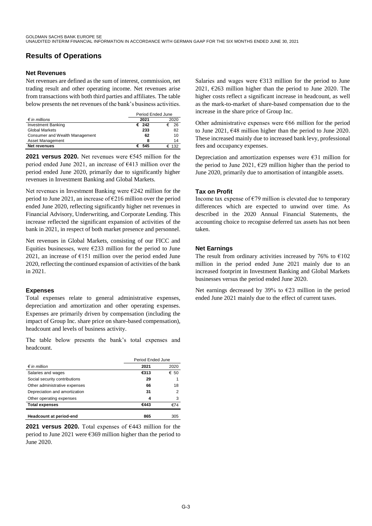# **Results of Operations**

#### **Net Revenues**

Net revenues are defined as the sum of interest, commission, net trading result and other operating income. Net revenues arise from transactions with both third parties and affiliates. The table below presents the net revenues of the bank's business activities.

|                                       | Period Ended June |          |
|---------------------------------------|-------------------|----------|
| $\epsilon$ in millions                | 2021              | 2020     |
| <b>Investment Banking</b>             | $\epsilon$ 242    | 26<br>€  |
| <b>Global Markets</b>                 | 233               | 82       |
| <b>Consumer and Wealth Management</b> | 62                | 10       |
| Asset Management                      | 8                 | 14       |
| <b>Net revenues</b>                   | 545               | 132<br>€ |

**2021 versus 2020.** Net revenues were  $\epsilon$ 545 million for the period ended June 2021, an increase of  $\epsilon$ 413 million over the period ended June 2020, primarily due to significantly higher revenues in Investment Banking and Global Markets.

Net revenues in Investment Banking were  $\epsilon$ 242 million for the period to June 2021, an increase of  $\epsilon$ 216 million over the period ended June 2020, reflecting significantly higher net revenues in Financial Advisory, Underwriting, and Corporate Lending. This increase reflected the significant expansion of activities of the bank in 2021, in respect of both market presence and personnel.

Net revenues in Global Markets, consisting of our FICC and Equities businesses, were  $\epsilon$ 233 million for the period to June 2021, an increase of  $E151$  million over the period ended June 2020, reflecting the continued expansion of activities of the bank in 2021.

#### **Expenses**

Total expenses relate to general administrative expenses, depreciation and amortization and other operating expenses. Expenses are primarily driven by compensation (including the impact of Group Inc. share price on share-based compensation), headcount and levels of business activity.

The table below presents the bank's total expenses and headcount.

|                                | Period Ended June |      |
|--------------------------------|-------------------|------|
| $\notin$ in million            | 2021              | 2020 |
| Salaries and wages             | €313              | € 50 |
| Social security contributions  | 29                |      |
| Other administrative expenses  | 66                | 18   |
| Depreciation and amortization  | 31                | 2    |
| Other operating expenses       | 4                 | 3    |
| <b>Total expenses</b>          | €443              | €74  |
| <b>Headcount at period-end</b> | 865               | 305  |

**2021 versus 2020.** Total expenses of  $\epsilon$ 443 million for the period to June 2021 were  $\epsilon$ 369 million higher than the period to June 2020.

Salaries and wages were  $\epsilon$ 313 million for the period to June 2021,  $\epsilon$ 263 million higher than the period to June 2020. The higher costs reflect a significant increase in headcount, as well as the mark-to-market of share-based compensation due to the increase in the share price of Group Inc.

Other administrative expenses were  $\epsilon$ 66 million for the period to June 2021,  $648$  million higher than the period to June 2020. These increased mainly due to increased bank levy, professional fees and occupancy expenses.

Depreciation and amortization expenses were  $\epsilon$ 31 million for the period to June 2021,  $\epsilon$ 29 million higher than the period to June 2020, primarily due to amortisation of intangible assets.

### **Tax on Profit**

Income tax expense of  $\epsilon$ 79 million is elevated due to temporary differences which are expected to unwind over time. As described in the 2020 Annual Financial Statements, the accounting choice to recognise deferred tax assets has not been taken.

## **Net Earnings**

The result from ordinary activities increased by 76% to  $\epsilon$ 102 million in the period ended June 2021 mainly due to an increased footprint in Investment Banking and Global Markets businesses versus the period ended June 2020.

Net earnings decreased by 39% to  $\epsilon$ 23 million in the period ended June 2021 mainly due to the effect of current taxes.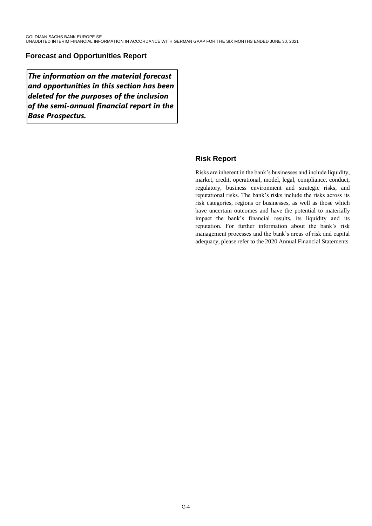# **Forecast and Opportunities Report**

The information on the material forecast  $|$ and opportunities in this section has been deleted for the purposes of the inclusion of the semi-annual financial report in the Base Prospectus.

# **Risk Report**

Risks are inherent in the bank's businesses and include liquidity, market, credit, operational, model, legal, compliance, conduct, regulatory, business environment and strategic risks, and reputational risks. The bank's risks include the risks across its risk categories, regions or businesses, as well as those which have uncertain outcomes and have the potential to materially impact the bank's financial results, its liquidity and its reputation. For further information about the bank's risk management processes and the bank's areas of risk and capital adequacy, please refer to the 2020 Annual Financial Statements.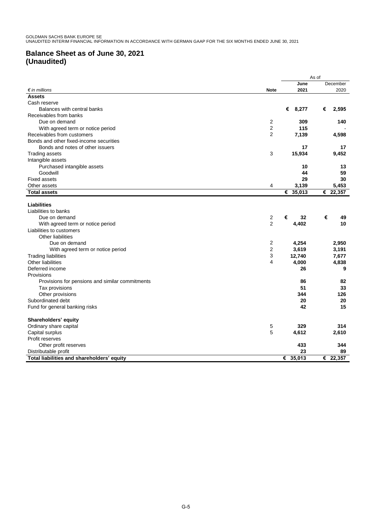# **Balance Sheet as of June 30, 2021 (Unaudited)**

|                                                 |                |             | As of                        |
|-------------------------------------------------|----------------|-------------|------------------------------|
|                                                 |                | June        | December                     |
| $\epsilon$ in millions                          | <b>Note</b>    | 2021        | 2020                         |
| <b>Assets</b>                                   |                |             |                              |
| Cash reserve                                    |                |             |                              |
| Balances with central banks                     |                | € 8,277     | €<br>2,595                   |
| Receivables from banks                          |                |             |                              |
| Due on demand                                   | 2              | 309         | 140                          |
| With agreed term or notice period               | $\overline{2}$ | 115         |                              |
| Receivables from customers                      | $\overline{2}$ | 7,139       | 4,598                        |
| Bonds and other fixed-income securities         |                |             |                              |
| Bonds and notes of other issuers                |                | 17          | 17                           |
| <b>Trading assets</b>                           | 3              | 15,934      | 9,452                        |
| Intangible assets                               |                |             |                              |
| Purchased intangible assets                     |                | 10          | 13                           |
| Goodwill                                        |                | 44          | 59                           |
| <b>Fixed assets</b>                             |                | 29          | 30                           |
| Other assets                                    | 4              | 3,139       | 5,453                        |
| <b>Total assets</b>                             |                | 35,013<br>€ | $\overline{\epsilon}$ 22,357 |
|                                                 |                |             |                              |
| <b>Liabilities</b>                              |                |             |                              |
| Liabilities to banks                            |                |             |                              |
| Due on demand                                   | 2              | €<br>32     | €<br>49                      |
| With agreed term or notice period               | $\overline{2}$ | 4,402       | 10                           |
| Liabilities to customers                        |                |             |                              |
| Other liabilities                               |                |             |                              |
| Due on demand                                   | $\overline{c}$ | 4,254       | 2,950                        |
| With agreed term or notice period               | 2              | 3,619       | 3,191                        |
| <b>Trading liabilities</b>                      | 3              | 12,740      | 7,677                        |
| Other liabilities                               | 4              | 4,000       | 4,838                        |
| Deferred income                                 |                | 26          | 9                            |
| Provisions                                      |                |             |                              |
| Provisions for pensions and similar commitments |                | 86          | 82                           |
| Tax provisions                                  |                | 51          | 33                           |
| Other provisions                                |                | 344         | 126                          |
| Subordinated debt                               |                | 20          | 20                           |
| Fund for general banking risks                  |                | 42          | 15                           |
|                                                 |                |             |                              |
| Shareholders' equity                            |                |             |                              |
| Ordinary share capital                          | 5              | 329         | 314                          |
| Capital surplus                                 | 5              | 4,612       | 2,610                        |
| Profit reserves                                 |                |             |                              |
| Other profit reserves                           |                | 433         | 344                          |
| Distributable profit                            |                | 23          | 89                           |
| Total liabilities and shareholders' equity      |                | € 35,013    | € 22.357                     |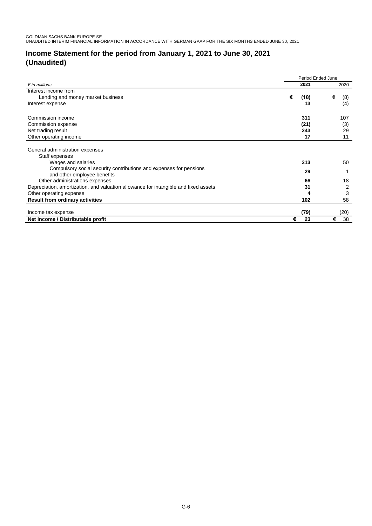# **Income Statement for the period from January 1, 2021 to June 30, 2021 (Unaudited)**

|                                                                                     | Period Ended June |      |          |
|-------------------------------------------------------------------------------------|-------------------|------|----------|
| $\epsilon$ in millions                                                              |                   | 2021 | 2020     |
| Interest income from                                                                |                   |      |          |
| Lending and money market business                                                   | €                 | (18) | €<br>(8) |
| Interest expense                                                                    |                   | 13   | (4)      |
| Commission income                                                                   |                   | 311  | 107      |
| Commission expense                                                                  |                   | (21) | (3)      |
| Net trading result                                                                  |                   | 243  | 29       |
| Other operating income                                                              |                   | 17   | 11       |
|                                                                                     |                   |      |          |
| General administration expenses                                                     |                   |      |          |
| Staff expenses                                                                      |                   |      |          |
| Wages and salaries                                                                  |                   | 313  | 50       |
| Compulsory social security contributions and expenses for pensions                  |                   | 29   |          |
| and other employee benefits                                                         |                   |      |          |
| Other administrations expenses                                                      |                   | 66   | 18       |
| Depreciation, amortization, and valuation allowance for intangible and fixed assets |                   | 31   | 2        |
| Other operating expense                                                             |                   | 4    | 3        |
| <b>Result from ordinary activities</b>                                              |                   | 102  | 58       |
|                                                                                     |                   |      |          |
| Income tax expense                                                                  |                   | (79) | (20)     |
| Net income / Distributable profit                                                   | €                 | 23   | 38<br>€  |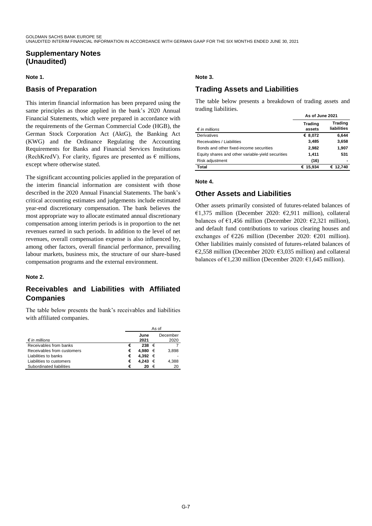## **Supplementary Notes (Unaudited)**

#### **Note 1.**

## **Basis of Preparation**

This interim financial information has been prepared using the same principles as those applied in the bank's 2020 Annual Financial Statements, which were prepared in accordance with the requirements of the German Commercial Code (HGB), the German Stock Corporation Act (AktG), the Banking Act (KWG) and the Ordinance Regulating the Accounting Requirements for Banks and Financial Services Institutions (RechKredV). For clarity, figures are presented as  $\epsilon$  millions, except where otherwise stated.

The significant accounting policies applied in the preparation of the interim financial information are consistent with those described in the 2020 Annual Financial Statements. The bank's critical accounting estimates and judgements include estimated year-end discretionary compensation. The bank believes the most appropriate way to allocate estimated annual discretionary compensation among interim periods is in proportion to the net revenues earned in such periods. In addition to the level of net revenues, overall compensation expense is also influenced by, among other factors, overall financial performance, prevailing labour markets, business mix, the structure of our share-based compensation programs and the external environment.

#### **Note 2.**

# **Receivables and Liabilities with Affiliated Companies**

The table below presents the bank's receivables and liabilities with affiliated companies.

|                            | As of |             |   |          |
|----------------------------|-------|-------------|---|----------|
|                            |       | June        |   | December |
| $\epsilon$ in millions     |       | 2021        |   | 2020     |
| Receivables from banks     | €     | 238 €       |   |          |
| Receivables from customers | €     | 4.980       | € | 3.898    |
| Liabilities to banks       | €     | 4,392 $\in$ |   |          |
| Liabilities to customers   | €     | 4.243       | € | 4,388    |
| Subordinated liabilities   | €     | 20          | € | 20       |

#### **Note 3.**

# **Trading Assets and Liabilities**

The table below presents a breakdown of trading assets and trading liabilities. **As of June 2021** 

|                                                   | AS OT JUNE ZUZT          |                        |
|---------------------------------------------------|--------------------------|------------------------|
| $\epsilon$ in millions                            | <b>Trading</b><br>assets | Trading<br>liabilities |
| Derivatives                                       | € 8,072                  | 6,644                  |
| Receivables / Liabilities                         | 3,485                    | 3,658                  |
| Bonds and other fixed-income securities           | 2.982                    | 1,907                  |
| Equity shares and other variable-yield securities | 1,411                    | 531                    |
| Risk adjustment                                   | (16)                     |                        |
| Total                                             | € 15.934                 | € 12,740               |

#### **Note 4.**

## **Other Assets and Liabilities**

Other assets primarily consisted of futures-related balances of €1,375 million (December 2020: €2,911 million), collateral balances of  $\epsilon$ 1,456 million (December 2020:  $\epsilon$ 2,321 million), and default fund contributions to various clearing houses and exchanges of  $\epsilon$ 226 million (December 2020:  $\epsilon$ 201 million). Other liabilities mainly consisted of futures-related balances of €2,558 million (December 2020: €3,035 million) and collateral balances of  $\epsilon$ 1,230 million (December 2020:  $\epsilon$ 1,645 million).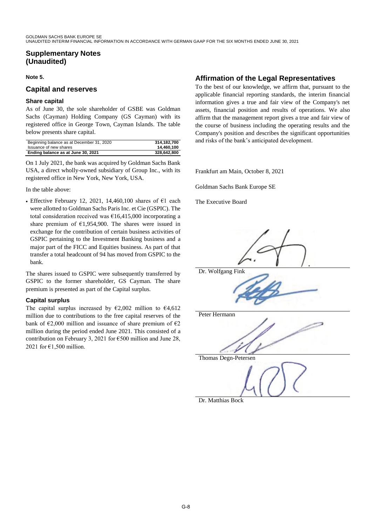# **Supplementary Notes (Unaudited)**

#### **Note 5.**

## **Capital and reserves**

#### **Share capital**

As of June 30, the sole shareholder of GSBE was Goldman Sachs (Cayman) Holding Company (GS Cayman) with its registered office in George Town, Cayman Islands. The table below presents share capital.

| Beginning balance as at December 31, 2020 | 314.182.700 |
|-------------------------------------------|-------------|
| Issuance of new shares                    | 14.460.100  |
| Ending balance as at June 30, 2021        | 328.642.800 |

On 1 July 2021, the bank was acquired by Goldman Sachs Bank USA, a direct wholly-owned subsidiary of Group Inc., with its registered office in New York, New York, USA.

In the table above:

• Effective February 12, 2021, 14,460,100 shares of  $\epsilon$ 1 each were allotted to Goldman Sachs Paris Inc. et Cie (GSPIC). The total consideration received was  $\epsilon$ 16,415,000 incorporating a share premium of  $\epsilon$ 1,954,900. The shares were issued in exchange for the contribution of certain business activities of GSPIC pertaining to the Investment Banking business and a major part of the FICC and Equities business. As part of that transfer a total headcount of 94 has moved from GSPIC to the bank.

The shares issued to GSPIC were subsequently transferred by GSPIC to the former shareholder, GS Cayman. The share premium is presented as part of the Capital surplus.

## **Capital surplus**

The capital surplus increased by  $\epsilon$ 2,002 million to  $\epsilon$ 4,612 million due to contributions to the free capital reserves of the bank of  $\epsilon$ 2,000 million and issuance of share premium of  $\epsilon$ 2 million during the period ended June 2021. This consisted of a contribution on February 3, 2021 for  $\epsilon$ 500 million and June 28, 2021 for  $\epsilon$ 1,500 million.

# **Affirmation of the Legal Representatives**

To the best of our knowledge, we affirm that, pursuant to the applicable financial reporting standards, the interim financial information gives a true and fair view of the Company's net assets, financial position and results of operations. We also affirm that the management report gives a true and fair view of the course of business including the operating results and the Company's position and describes the significant opportunities and risks of the bank's anticipated development.

Frankfurt am Main, October 8, 2021

Goldman Sachs Bank Europe SE

The Executive Board



Dr. Matthias Bock